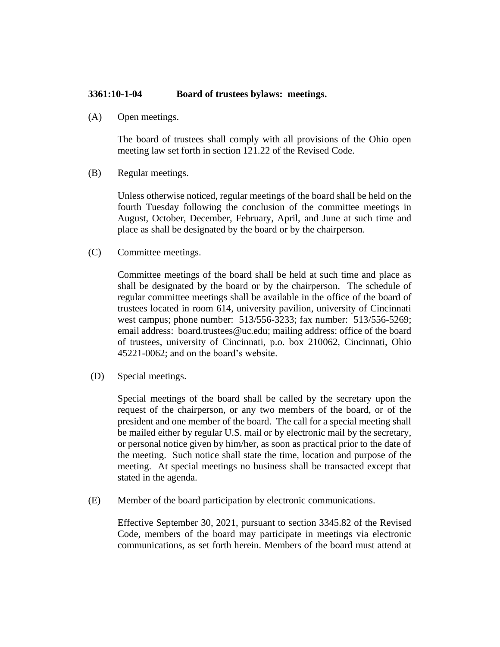## **3361:10-1-04 Board of trustees bylaws: meetings.**

(A) Open meetings.

The board of trustees shall comply with all provisions of the Ohio open meeting law set forth in section 121.22 of the Revised Code.

(B) Regular meetings.

Unless otherwise noticed, regular meetings of the board shall be held on the fourth Tuesday following the conclusion of the committee meetings in August, October, December, February, April, and June at such time and place as shall be designated by the board or by the chairperson.

(C) Committee meetings.

Committee meetings of the board shall be held at such time and place as shall be designated by the board or by the chairperson. The schedule of regular committee meetings shall be available in the office of the board of trustees located in room 614, university pavilion, university of Cincinnati west campus; phone number: 513/556-3233; fax number: 513/556-5269; email address: board.trustees@uc.edu; mailing address: office of the board of trustees, university of Cincinnati, p.o. box 210062, Cincinnati, Ohio 45221-0062; and on the board's website.

(D) Special meetings.

Special meetings of the board shall be called by the secretary upon the request of the chairperson, or any two members of the board, or of the president and one member of the board. The call for a special meeting shall be mailed either by regular U.S. mail or by electronic mail by the secretary, or personal notice given by him/her, as soon as practical prior to the date of the meeting. Such notice shall state the time, location and purpose of the meeting. At special meetings no business shall be transacted except that stated in the agenda.

(E) Member of the board participation by electronic communications.

Effective September 30, 2021, pursuant to section 3345.82 of the Revised Code, members of the board may participate in meetings via electronic communications, as set forth herein. Members of the board must attend at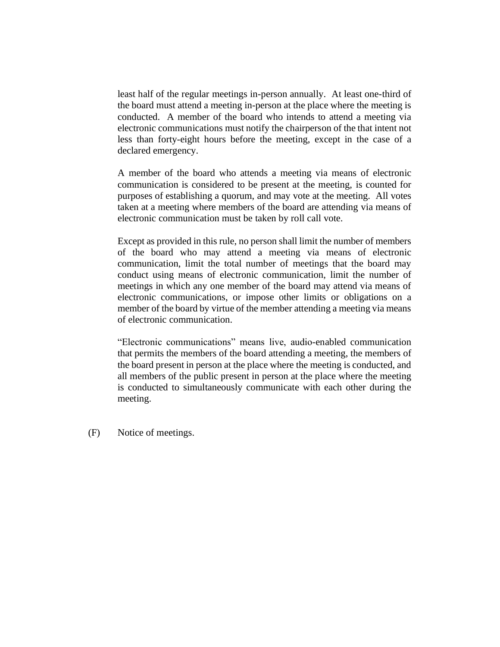least half of the regular meetings in-person annually. At least one-third of the board must attend a meeting in-person at the place where the meeting is conducted. A member of the board who intends to attend a meeting via electronic communications must notify the chairperson of the that intent not less than forty-eight hours before the meeting, except in the case of a declared emergency.

A member of the board who attends a meeting via means of electronic communication is considered to be present at the meeting, is counted for purposes of establishing a quorum, and may vote at the meeting. All votes taken at a meeting where members of the board are attending via means of electronic communication must be taken by roll call vote.

Except as provided in this rule, no person shall limit the number of members of the board who may attend a meeting via means of electronic communication, limit the total number of meetings that the board may conduct using means of electronic communication, limit the number of meetings in which any one member of the board may attend via means of electronic communications, or impose other limits or obligations on a member of the board by virtue of the member attending a meeting via means of electronic communication.

"Electronic communications" means live, audio-enabled communication that permits the members of the board attending a meeting, the members of the board present in person at the place where the meeting is conducted, and all members of the public present in person at the place where the meeting is conducted to simultaneously communicate with each other during the meeting.

(F) Notice of meetings.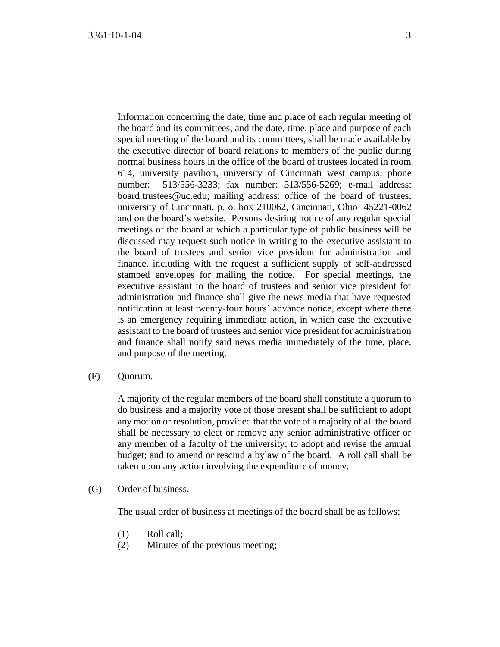Information concerning the date, time and place of each regular meeting of the board and its committees, and the date, time, place and purpose of each special meeting of the board and its committees, shall be made available by the executive director of board relations to members of the public during normal business hours in the office of the board of trustees located in room 614, university pavilion, university of Cincinnati west campus; phone number: 513/556-3233; fax number: 513/556-5269; e-mail address: board.trustees@uc.edu; mailing address: office of the board of trustees, university of Cincinnati, p. o. box 210062, Cincinnati, Ohio 45221-0062 and on the board's website. Persons desiring notice of any regular special meetings of the board at which a particular type of public business will be discussed may request such notice in writing to the executive assistant to the board of trustees and senior vice president for administration and finance, including with the request a sufficient supply of self-addressed stamped envelopes for mailing the notice. For special meetings, the executive assistant to the board of trustees and senior vice president for administration and finance shall give the news media that have requested notification at least twenty-four hours' advance notice, except where there is an emergency requiring immediate action, in which case the executive assistant to the board of trustees and senior vice president for administration and finance shall notify said news media immediately of the time, place, and purpose of the meeting.

(F) Quorum.

A majority of the regular members of the board shall constitute a quorum to do business and a majority vote of those present shall be sufficient to adopt any motion or resolution, provided that the vote of a majority of all the board shall be necessary to elect or remove any senior administrative officer or any member of a faculty of the university; to adopt and revise the annual budget; and to amend or rescind a bylaw of the board. A roll call shall be taken upon any action involving the expenditure of money.

(G) Order of business.

The usual order of business at meetings of the board shall be as follows:

- (1) Roll call;
- (2) Minutes of the previous meeting;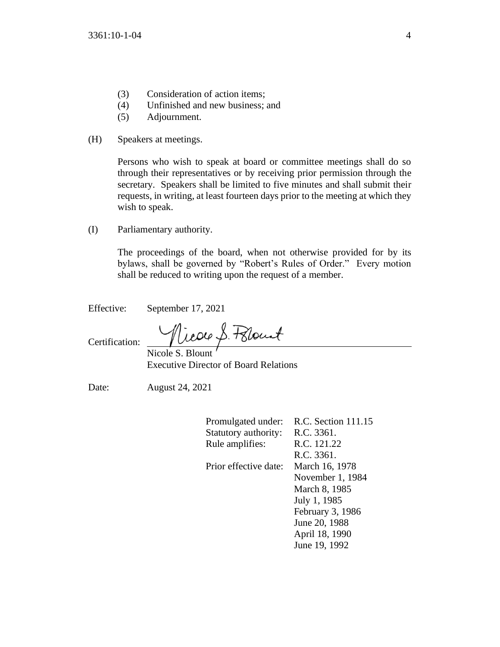- (3) Consideration of action items;
- (4) Unfinished and new business; and
- (5) Adjournment.
- (H) Speakers at meetings.

Persons who wish to speak at board or committee meetings shall do so through their representatives or by receiving prior permission through the secretary. Speakers shall be limited to five minutes and shall submit their requests, in writing, at least fourteen days prior to the meeting at which they wish to speak.

(I) Parliamentary authority.

The proceedings of the board, when not otherwise provided for by its bylaws, shall be governed by "Robert's Rules of Order." Every motion shall be reduced to writing upon the request of a member.

Effective: September 17, 2021

Nicole S. Pelount

Certification: Nicole S. Blount

Executive Director of Board Relations

Date: August 24, 2021

| Promulgated under:    | R.C. Section 111.15 |
|-----------------------|---------------------|
| Statutory authority:  | R.C. 3361.          |
| Rule amplifies:       | R.C. 121.22         |
|                       | R.C. 3361.          |
| Prior effective date: | March 16, 1978      |
|                       | November 1, 1984    |
|                       | March 8, 1985       |
|                       | July 1, 1985        |
|                       | February 3, 1986    |
|                       | June 20, 1988       |
|                       | April 18, 1990      |
|                       | June 19, 1992       |
|                       |                     |